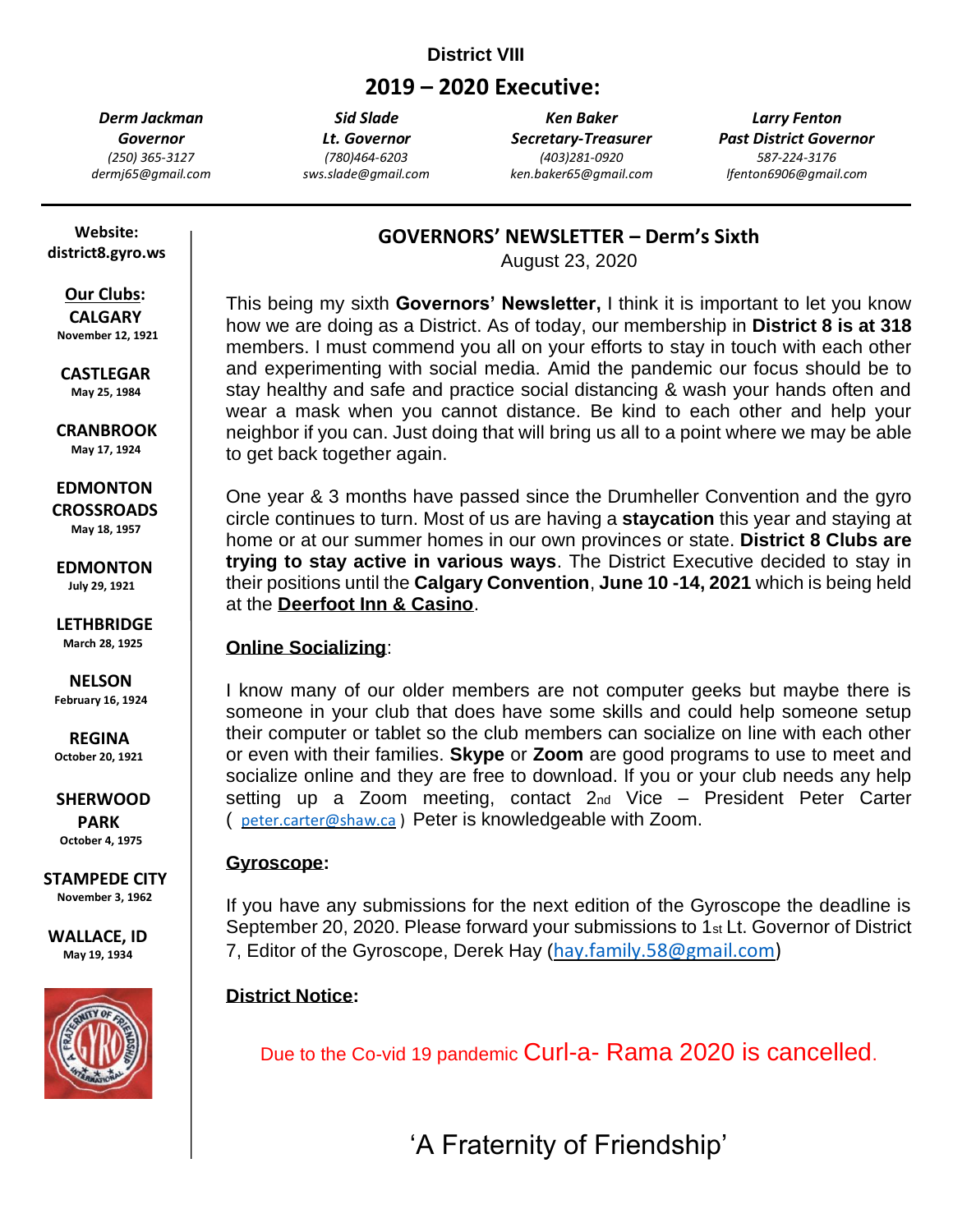### **District VIII**

# **2019 – 2020 Executive:**

*Derm Jackman Governor (250) 365-3127 dermj65@gmail.com*

*Sid Slade Lt. Governor (780)464-6203 sws.slade@gmail.com*

*Ken Baker Secretary-Treasurer (403)281-0920 ken.baker65@gmail.com*

*Larry Fenton Past District Governor 587-224-3176 lfenton6906@gmail.com*

 **Website: district8.gyro.ws**

# **Our Clubs:**

 **CALGARY November 12, 1921**

 **CASTLEGAR May 25, 1984**

 **CRANBROOK May 17, 1924**

### **EDMONTON**

 **CROSSROADS May 18, 1957**

 **EDMONTON July 29, 1921**

 **LETHBRIDGE March 28, 1925**

 **NELSON February 16, 1924**

 **REGINA October 20, 1921**

 **SHERWOOD**

 **PARK October 4, 1975**

**STAMPEDE CITY November 3, 1962**

**WALLACE, ID May 19, 1934**



**GOVERNORS' NEWSLETTER – Derm's Sixth**

August 23, 2020

This being my sixth **Governors' Newsletter,** I think it is important to let you know how we are doing as a District. As of today, our membership in **District 8 is at 318** members. I must commend you all on your efforts to stay in touch with each other and experimenting with social media. Amid the pandemic our focus should be to stay healthy and safe and practice social distancing & wash your hands often and wear a mask when you cannot distance. Be kind to each other and help your neighbor if you can. Just doing that will bring us all to a point where we may be able to get back together again.

One year & 3 months have passed since the Drumheller Convention and the gyro circle continues to turn. Most of us are having a **staycation** this year and staying at home or at our summer homes in our own provinces or state. **District 8 Clubs are trying to stay active in various ways**. The District Executive decided to stay in their positions until the **Calgary Convention**, **June 10 -14, 2021** which is being held at the **Deerfoot Inn & Casino**.

### **Online Socializing**:

I know many of our older members are not computer geeks but maybe there is someone in your club that does have some skills and could help someone setup their computer or tablet so the club members can socialize on line with each other or even with their families. **Skype** or **Zoom** are good programs to use to meet and socialize online and they are free to download. If you or your club needs any help setting up a Zoom meeting, contact 2nd Vice – President Peter Carter ( [peter.carter@shaw.ca](mailto:peter.carter@shaw.ca) ) Peter is knowledgeable with Zoom.

#### **Gyroscope:**

If you have any submissions for the next edition of the Gyroscope the deadline is September 20, 2020. Please forward your submissions to 1<sup>st</sup> Lt. Governor of District 7, Editor of the Gyroscope, Derek Hay ([hay.family.58@gmail.com\)](mailto:hay.family.58@gmail.com)

# **District Notice:**

Due to the Co-vid 19 pandemic Curl-a- Rama 2020 is cancelled.

**'A Fraternity o** 'A Fraternity of Friendship'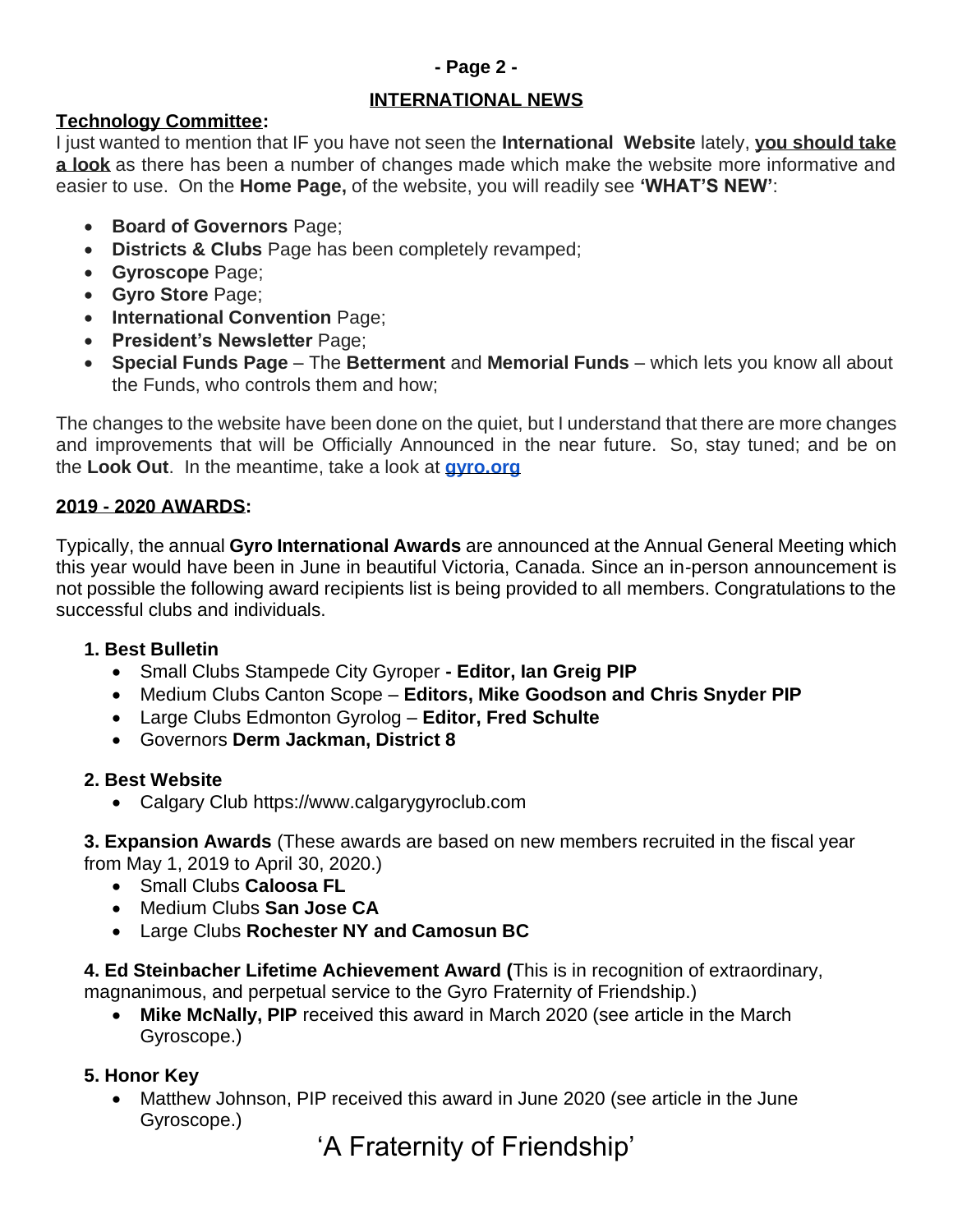### **- Page 2 -**

#### **INTERNATIONAL NEWS**

#### **Technology Committee:**

I just wanted to mention that IF you have not seen the **International Website** lately, **you should take a look** as there has been a number of changes made which make the website more informative and easier to use. On the **Home Page,** of the website, you will readily see **'WHAT'S NEW'**:

- **Board of Governors** Page;
- **Districts & Clubs** Page has been completely revamped;
- **Gyroscope** Page;
- **Gyro Store** Page;
- **International Convention** Page;
- **President's Newsletter** Page;
- **Special Funds Page** The **Betterment** and **Memorial Funds** which lets you know all about the Funds, who controls them and how;

The changes to the website have been done on the quiet, but I understand that there are more changes and improvements that will be Officially Announced in the near future. So, stay tuned; and be on the **Look Out**. In the meantime, take a look at **[gyro.org](http://gyro.org/)**

#### **2019 - 2020 AWARDS:**

Typically, the annual **Gyro International Awards** are announced at the Annual General Meeting which this year would have been in June in beautiful Victoria, Canada. Since an in-person announcement is not possible the following award recipients list is being provided to all members. Congratulations to the successful clubs and individuals.

#### **1. Best Bulletin**

- Small Clubs Stampede City Gyroper **- Editor, Ian Greig PIP**
- Medium Clubs Canton Scope **Editors, Mike Goodson and Chris Snyder PIP**
- Large Clubs Edmonton Gyrolog **Editor, Fred Schulte**
- Governors **Derm Jackman, District 8**

### **2. Best Website**

• Calgary Club https://www.calgarygyroclub.com

**3. Expansion Awards** (These awards are based on new members recruited in the fiscal year from May 1, 2019 to April 30, 2020.)

- Small Clubs **Caloosa FL**
- Medium Clubs **San Jose CA**
- Large Clubs **Rochester NY and Camosun BC**

**4. Ed Steinbacher Lifetime Achievement Award (**This is in recognition of extraordinary, magnanimous, and perpetual service to the Gyro Fraternity of Friendship.)

• **Mike McNally, PIP** received this award in March 2020 (see article in the March Gyroscope.)

# **5. Honor Key**

• Matthew Johnson, PIP received this award in June 2020 (see article in the June Gyroscope.)

'A Fraternity of Friendship'